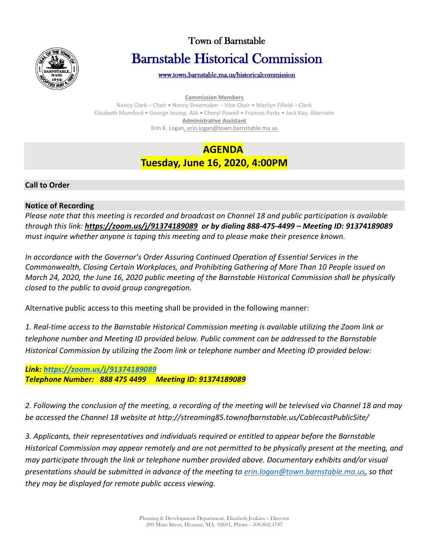

# Town of Barnstable Barnstable Historical Commission

[www.town.barnstable.ma.us/historicalcommission](http://www.town.barnstable.ma.us/historicalcommission) 

**Commission Members**

Nancy Clark – Chair • Nancy Shoemaker – Vice Chair • Marilyn Fifield – Clerk Elizabeth Mumford • George Jessop, AIA • Cheryl Powell • Frances Parks • Jack Kay, Alternate **Administrative Assistant** Erin K. Logan, erin.logan@town.barnstable.ma.us

### **AGENDA Tuesday, June 16, 2020, 4:00PM**

#### **Call to Order**

#### **Notice of Recording**

*Please note that this meeting is recorded and broadcast on Channel 18 and public participation is available through this link: <https://zoom.us/j/91374189089> or by dialing 888-475-4499 – Meeting ID: 91374189089 must inquire whether anyone is taping this meeting and to please make their presence known.*

*In accordance with the Governor's Order Assuring Continued Operation of Essential Services in the Commonwealth, Closing Certain Workplaces, and Prohibiting Gathering of More Than 10 People issued on March 24, 2020, the June 16, 2020 public meeting of the Barnstable Historical Commission shall be physically closed to the public to avoid group congregation.*

Alternative public access to this meeting shall be provided in the following manner:

*1. Real-time access to the Barnstable Historical Commission meeting is available utilizing the Zoom link or telephone number and Meeting ID provided below. Public comment can be addressed to the Barnstable Historical Commission by utilizing the Zoom link or telephone number and Meeting ID provided below:*

*Link:<https://zoom.us/j/91374189089> Telephone Number: 888 475 4499 Meeting ID: 91374189089*

*2. Following the conclusion of the meeting, a recording of the meeting will be televised via Channel 18 and may be accessed the Channel 18 website at http://streaming85.townofbarnstable.us/CablecastPublicSite/*

*3. Applicants, their representatives and individuals required or entitled to appear before the Barnstable Historical Commission may appear remotely and are not permitted to be physically present at the meeting, and may participate through the link or telephone number provided above. Documentary exhibits and/or visual presentations should be submitted in advance of the meeting to [erin.logan@town.barnstable.ma.us,](mailto:erin.logan@town.barnstable.ma.us) so that they may be displayed for remote public access viewing.*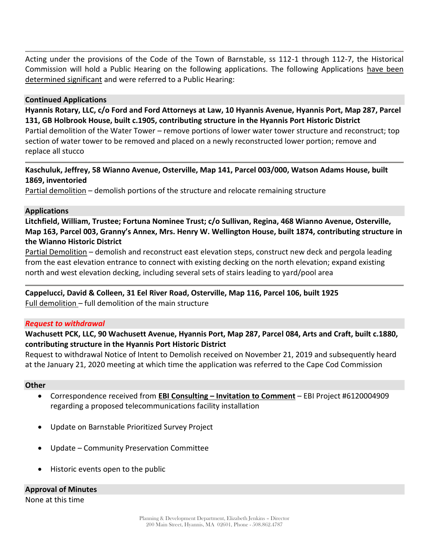Acting under the provisions of the Code of the Town of Barnstable, ss 112-1 through 112-7, the Historical Commission will hold a Public Hearing on the following applications. The following Applications have been determined significant and were referred to a Public Hearing:

#### **Continued Applications**

**Hyannis Rotary, LLC, c/o Ford and Ford Attorneys at Law, 10 Hyannis Avenue, Hyannis Port, Map 287, Parcel 131, GB Holbrook House, built c.1905, contributing structure in the Hyannis Port Historic District** Partial demolition of the Water Tower – remove portions of lower water tower structure and reconstruct; top section of water tower to be removed and placed on a newly reconstructed lower portion; remove and replace all stucco

**Kaschuluk, Jeffrey, 58 Wianno Avenue, Osterville, Map 141, Parcel 003/000, Watson Adams House, built 1869, inventoried**

Partial demolition – demolish portions of the structure and relocate remaining structure

#### **Applications**

**Litchfield, William, Trustee; Fortuna Nominee Trust; c/o Sullivan, Regina, 468 Wianno Avenue, Osterville, Map 163, Parcel 003, Granny's Annex, Mrs. Henry W. Wellington House, built 1874, contributing structure in the Wianno Historic District**

Partial Demolition – demolish and reconstruct east elevation steps, construct new deck and pergola leading from the east elevation entrance to connect with existing decking on the north elevation; expand existing north and west elevation decking, including several sets of stairs leading to yard/pool area

# **Cappelucci, David & Colleen, 31 Eel River Road, Osterville, Map 116, Parcel 106, built 1925**

Full demolition – full demolition of the main structure

#### *Request to withdrawal*

### **Wachusett PCK, LLC, 90 Wachusett Avenue, Hyannis Port, Map 287, Parcel 084, Arts and Craft, built c.1880, contributing structure in the Hyannis Port Historic District**

Request to withdrawal Notice of Intent to Demolish received on November 21, 2019 and subsequently heard at the January 21, 2020 meeting at which time the application was referred to the Cape Cod Commission

#### **Other**

- Correspondence received from **EBI Consulting – Invitation to Comment** EBI Project #6120004909 regarding a proposed telecommunications facility installation
- Update on Barnstable Prioritized Survey Project
- Update Community Preservation Committee
- Historic events open to the public

#### **Approval of Minutes**

None at this time